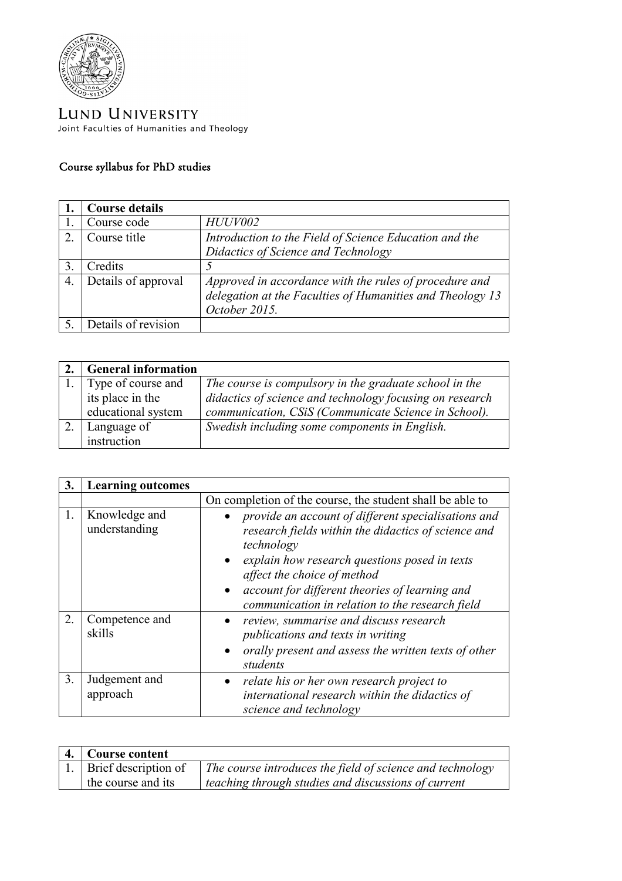

LUND UNIVERSITY Joint Faculties of Humanities and Theology

## Course syllabus for PhD studies

|    | <b>Course details</b> |                                                                                                                                      |
|----|-----------------------|--------------------------------------------------------------------------------------------------------------------------------------|
|    | Course code           | <b>HUUV002</b>                                                                                                                       |
|    | Course title          | Introduction to the Field of Science Education and the                                                                               |
|    |                       | Didactics of Science and Technology                                                                                                  |
|    | Credits               |                                                                                                                                      |
| 4. | Details of approval   | Approved in accordance with the rules of procedure and<br>delegation at the Faculties of Humanities and Theology 13<br>October 2015. |
|    | Details of revision   |                                                                                                                                      |

| <b>General information</b> |                                                          |
|----------------------------|----------------------------------------------------------|
| 1. Type of course and      | The course is compulsory in the graduate school in the   |
| its place in the           | didactics of science and technology focusing on research |
| educational system         | communication, CSiS (Communicate Science in School).     |
| Language of                | Swedish including some components in English.            |
| instruction                |                                                          |

| 3. | <b>Learning outcomes</b>       |                                                                                                                                                                                                                                                                                                               |
|----|--------------------------------|---------------------------------------------------------------------------------------------------------------------------------------------------------------------------------------------------------------------------------------------------------------------------------------------------------------|
|    |                                | On completion of the course, the student shall be able to                                                                                                                                                                                                                                                     |
| 1. | Knowledge and<br>understanding | provide an account of different specialisations and<br>research fields within the didactics of science and<br>technology<br>explain how research questions posed in texts<br>affect the choice of method<br>account for different theories of learning and<br>communication in relation to the research field |
| 2. | Competence and<br>skills       | review, summarise and discuss research<br>publications and texts in writing<br>orally present and assess the written texts of other<br>$\bullet$<br>students                                                                                                                                                  |
| 3. | Judgement and<br>approach      | relate his or her own research project to<br>$\bullet$<br>international research within the didactics of<br>science and technology                                                                                                                                                                            |

| 4.   Course content     |                                                                  |
|-------------------------|------------------------------------------------------------------|
| 1. Brief description of | $\mid$ The course introduces the field of science and technology |
| the course and its      | teaching through studies and discussions of current              |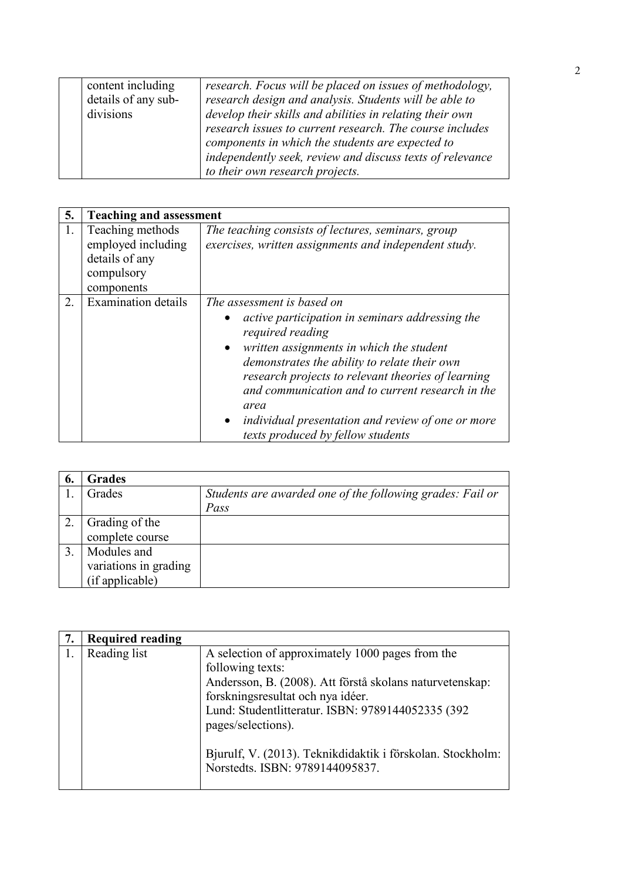| content including<br>details of any sub-<br>divisions | research. Focus will be placed on issues of methodology,<br>research design and analysis. Students will be able to<br>develop their skills and abilities in relating their own<br>research issues to current research. The course includes<br>components in which the students are expected to<br>independently seek, review and discuss texts of relevance |
|-------------------------------------------------------|-------------------------------------------------------------------------------------------------------------------------------------------------------------------------------------------------------------------------------------------------------------------------------------------------------------------------------------------------------------|
|                                                       | to their own research projects.                                                                                                                                                                                                                                                                                                                             |

| 5. | <b>Teaching and assessment</b>                                                       |                                                                                                                                                                                                                                                                                                                                                                                                                        |
|----|--------------------------------------------------------------------------------------|------------------------------------------------------------------------------------------------------------------------------------------------------------------------------------------------------------------------------------------------------------------------------------------------------------------------------------------------------------------------------------------------------------------------|
| 1. | Teaching methods<br>employed including<br>details of any<br>compulsory<br>components | The teaching consists of lectures, seminars, group<br>exercises, written assignments and independent study.                                                                                                                                                                                                                                                                                                            |
| 2. | <b>Examination details</b>                                                           | The assessment is based on<br>active participation in seminars addressing the<br>required reading<br>written assignments in which the student<br>$\bullet$<br>demonstrates the ability to relate their own<br>research projects to relevant theories of learning<br>and communication and to current research in the<br>area<br>individual presentation and review of one or more<br>texts produced by fellow students |

| 6. | <b>Grades</b>         |                                                           |
|----|-----------------------|-----------------------------------------------------------|
|    | Grades                | Students are awarded one of the following grades: Fail or |
|    |                       | Pass                                                      |
|    | Grading of the        |                                                           |
|    | complete course       |                                                           |
| 3  | Modules and           |                                                           |
|    | variations in grading |                                                           |
|    | (if applicable)       |                                                           |

| 7. | <b>Required reading</b> |                                                                                                                                                                                                                                                                                                                |
|----|-------------------------|----------------------------------------------------------------------------------------------------------------------------------------------------------------------------------------------------------------------------------------------------------------------------------------------------------------|
|    | Reading list            | A selection of approximately 1000 pages from the<br>following texts:<br>Andersson, B. (2008). Att förstå skolans naturvetenskap:<br>forskningsresultat och nya idéer.<br>Lund: Studentlitteratur. ISBN: 9789144052335 (392<br>pages/selections).<br>Bjurulf, V. (2013). Teknikdidaktik i förskolan. Stockholm: |
|    |                         | Norstedts. ISBN: 9789144095837.                                                                                                                                                                                                                                                                                |